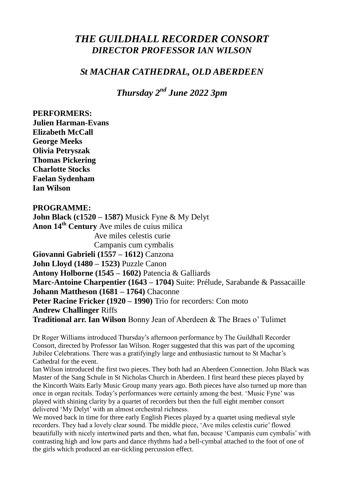## *THE GUILDHALL RECORDER CONSORT DIRECTOR PROFESSOR IAN WILSON*

## *St MACHAR CATHEDRAL, OLD ABERDEEN*

*Thursday 2nd June 2022 3pm*

**PERFORMERS: Julien Harman-Evans Elizabeth McCall George Meeks Olivia Petryszak Thomas Pickering Charlotte Stocks Faelan Sydenham Ian Wilson PROGRAMME: John Black (c1520 – 1587)** Musick Fyne & My Delyt **Anon 14th Century** Ave miles de cuius milica Ave miles celestis curie Campanis cum cymbalis **Giovanni Gabrieli (1557 – 1612)** Canzona **John Lloyd (1480 – 1523)** Puzzle Canon **Antony Holborne (1545 – 1602)** Patencia & Galliards **Marc-Antoine Charpentier (1643 – 1704)** Suite: Prélude, Sarabande & Passacaille **Johann Mattheson (1681 – 1764)** Chaconne **Peter Racine Fricker (1920 – 1990)** Trio for recorders: Con moto **Andrew Challinger** Riffs **Traditional arr. Ian Wilson** Bonny Jean of Aberdeen & The Braes o' Tulimet

Dr Roger Williams introduced Thursday's afternoon performance by The Guildhall Recorder Consort, directed by Professor Ian Wilson. Roger suggested that this was part of the upcoming Jubilee Celebrations. There was a gratifyingly large and enthusiastic turnout to St Machar's Cathedral for the event.

Ian Wilson introduced the first two pieces. They both had an Aberdeen Connection. John Black was Master of the Sang Schule in St Nicholas Church in Aberdeen. I first heard these pieces played by the Kincorth Waits Early Music Group many years ago. Both pieces have also turned up more than once in organ recitals. Today's performances were certainly among the best. 'Music Fyne' was played with shining clarity by a quartet of recorders but then the full eight member consort delivered 'My Delyt' with an almost orchestral richness.

We moved back in time for three early English Pieces played by a quartet using medieval style recorders. They had a lovely clear sound. The middle piece, 'Ave miles celestis curie' flowed beautifully with nicely intertwined parts and then, what fun, because 'Campanis cum cymbalis' with contrasting high and low parts and dance rhythms had a bell-cymbal attached to the foot of one of the girls which produced an ear-tickling percussion effect.